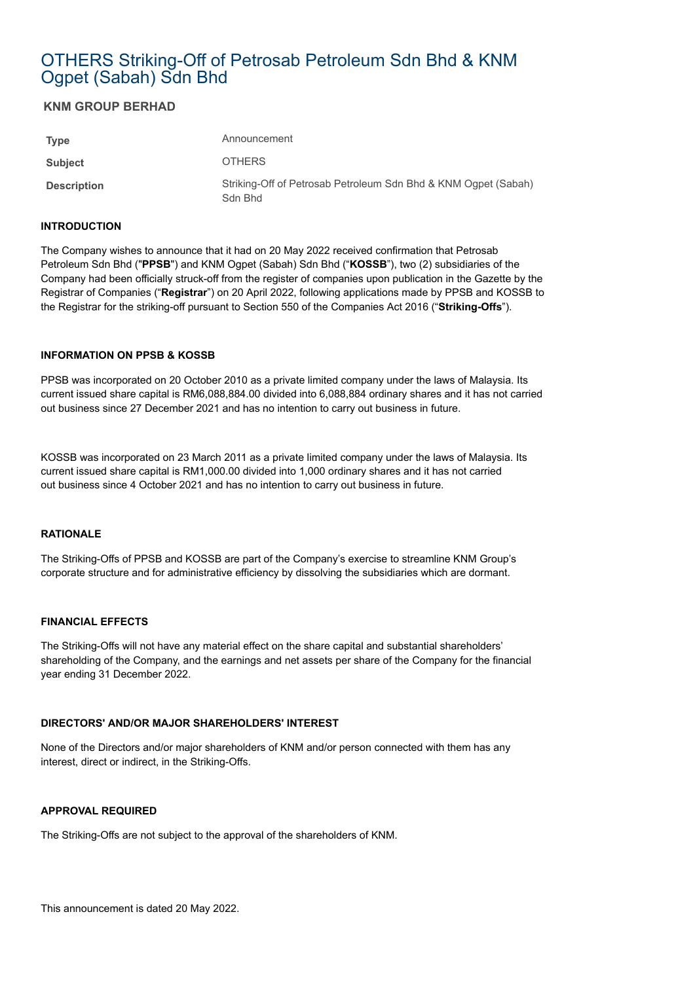# OTHERS Striking-Off of Petrosab Petroleum Sdn Bhd & KNM Ogpet (Sabah) Sdn Bhd

# **KNM GROUP BERHAD**

| <b>Type</b>        | Announcement                                                              |
|--------------------|---------------------------------------------------------------------------|
| Subject            | <b>OTHERS</b>                                                             |
| <b>Description</b> | Striking-Off of Petrosab Petroleum Sdn Bhd & KNM Ogpet (Sabah)<br>Sdn Bhd |

## **INTRODUCTION**

The Company wishes to announce that it had on 20 May 2022 received confirmation that Petrosab Petroleum Sdn Bhd ("**PPSB**") and KNM Ogpet (Sabah) Sdn Bhd ("**KOSSB**"), two (2) subsidiaries of the Company had been officially struck-off from the register of companies upon publication in the Gazette by the Registrar of Companies ("**Registrar**") on 20 April 2022, following applications made by PPSB and KOSSB to the Registrar for the striking-off pursuant to Section 550 of the Companies Act 2016 ("**Striking-Offs**").

## **INFORMATION ON PPSB & KOSSB**

PPSB was incorporated on 20 October 2010 as a private limited company under the laws of Malaysia. Its current issued share capital is RM6,088,884.00 divided into 6,088,884 ordinary shares and it has not carried out business since 27 December 2021 and has no intention to carry out business in future.

KOSSB was incorporated on 23 March 2011 as a private limited company under the laws of Malaysia. Its current issued share capital is RM1,000.00 divided into 1,000 ordinary shares and it has not carried out business since 4 October 2021 and has no intention to carry out business in future.

# **RATIONALE**

The Striking-Offs of PPSB and KOSSB are part of the Company's exercise to streamline KNM Group's corporate structure and for administrative efficiency by dissolving the subsidiaries which are dormant.

## **FINANCIAL EFFECTS**

The Striking-Offs will not have any material effect on the share capital and substantial shareholders' shareholding of the Company, and the earnings and net assets per share of the Company for the financial year ending 31 December 2022.

# **DIRECTORS' AND/OR MAJOR SHAREHOLDERS' INTEREST**

None of the Directors and/or major shareholders of KNM and/or person connected with them has any interest, direct or indirect, in the Striking-Offs.

## **APPROVAL REQUIRED**

The Striking-Offs are not subject to the approval of the shareholders of KNM.